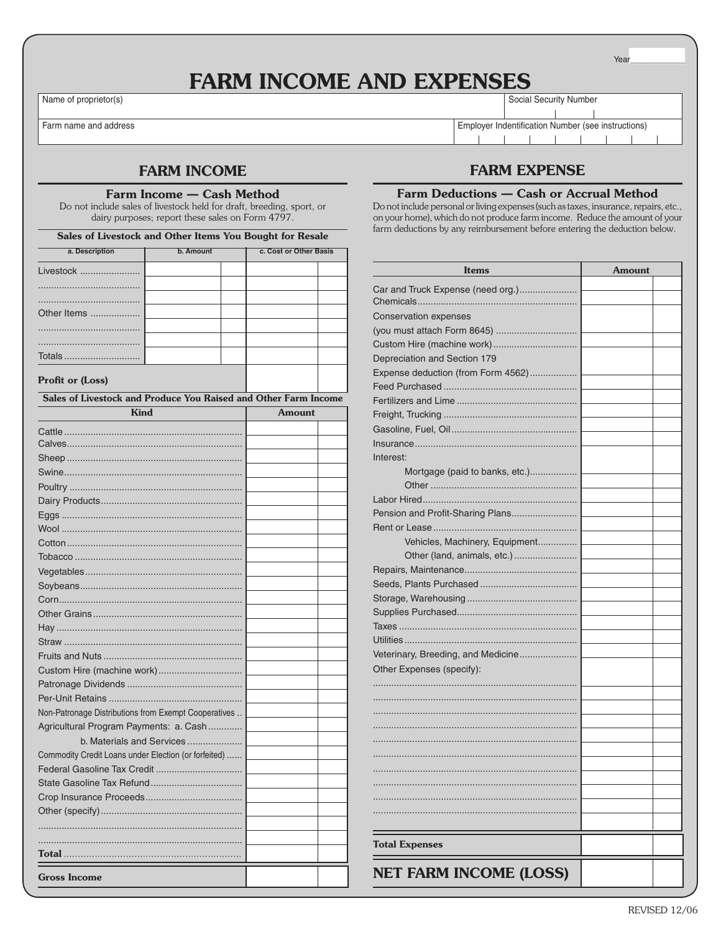Year

# FARM INCOME AND EXPENSES

Name of proprietor(s) Social Security Number

Farm name and address Employer Indentification Number (see instructions)

## FARM INCOME

### Farm Income — Cash Method

Do not include sales of livestock held for draft, breeding, sport, or dairy purposes; report these sales on Form 4797.

Sales of Livestock and Other Items You Bought for Resale

| a. Description | b. Amount |  | c. Cost or Other Basis |  |  |  |
|----------------|-----------|--|------------------------|--|--|--|
| Livestock      |           |  |                        |  |  |  |
|                |           |  |                        |  |  |  |
|                |           |  |                        |  |  |  |
| Other Items    |           |  |                        |  |  |  |
|                |           |  |                        |  |  |  |
|                |           |  |                        |  |  |  |
|                |           |  |                        |  |  |  |
|                |           |  |                        |  |  |  |

#### Profit or (Loss)

Sales of Livestock and Produce You Raised and Other Farm Income

| <b>Kind</b>                                          | <b>Amount</b> |  |  |  |
|------------------------------------------------------|---------------|--|--|--|
|                                                      |               |  |  |  |
|                                                      |               |  |  |  |
|                                                      |               |  |  |  |
|                                                      |               |  |  |  |
|                                                      |               |  |  |  |
|                                                      |               |  |  |  |
|                                                      |               |  |  |  |
|                                                      |               |  |  |  |
|                                                      |               |  |  |  |
|                                                      |               |  |  |  |
|                                                      |               |  |  |  |
|                                                      |               |  |  |  |
|                                                      |               |  |  |  |
|                                                      |               |  |  |  |
|                                                      |               |  |  |  |
|                                                      |               |  |  |  |
|                                                      |               |  |  |  |
| Custom Hire (machine work)                           |               |  |  |  |
|                                                      |               |  |  |  |
|                                                      |               |  |  |  |
| Non-Patronage Distributions from Exempt Cooperatives |               |  |  |  |
| Agricultural Program Payments: a. Cash               |               |  |  |  |
| b. Materials and Services                            |               |  |  |  |
| Commodity Credit Loans under Election (or forfeited) |               |  |  |  |
|                                                      |               |  |  |  |
|                                                      |               |  |  |  |
|                                                      |               |  |  |  |
|                                                      |               |  |  |  |
|                                                      |               |  |  |  |
|                                                      |               |  |  |  |
|                                                      |               |  |  |  |
| <b>Gross Income</b>                                  |               |  |  |  |

## FARM EXPENSE

#### Farm Deductions — Cash or Accrual Method

Do not include personal or living expenses (such as taxes, insurance, repairs, etc., on your home), which do not produce farm income. Reduce the amount of your farm deductions by any reimbursement before entering the deduction below.

| <b>Items</b>                       | <b>Amount</b> |
|------------------------------------|---------------|
| Car and Truck Expense (need org.)  |               |
|                                    |               |
| Conservation expenses              |               |
|                                    |               |
| Custom Hire (machine work)         |               |
| Depreciation and Section 179       |               |
| Expense deduction (from Form 4562) |               |
|                                    |               |
|                                    |               |
|                                    |               |
|                                    |               |
|                                    |               |
| Interest:                          |               |
| Mortgage (paid to banks, etc.)     |               |
|                                    |               |
|                                    |               |
| Pension and Profit-Sharing Plans   |               |
|                                    |               |
| Vehicles, Machinery, Equipment     |               |
| Other (land, animals, etc.)        |               |
|                                    |               |
|                                    |               |
|                                    |               |
|                                    |               |
|                                    |               |
|                                    |               |
| Veterinary, Breeding, and Medicine |               |
| Other Expenses (specify):          |               |
|                                    |               |
|                                    |               |
|                                    |               |
|                                    |               |
|                                    |               |
|                                    |               |
|                                    |               |
|                                    |               |
|                                    |               |
|                                    |               |
|                                    |               |
| <b>Total Expenses</b>              |               |
| <b>NET FARM INCOME (LOSS)</b>      |               |